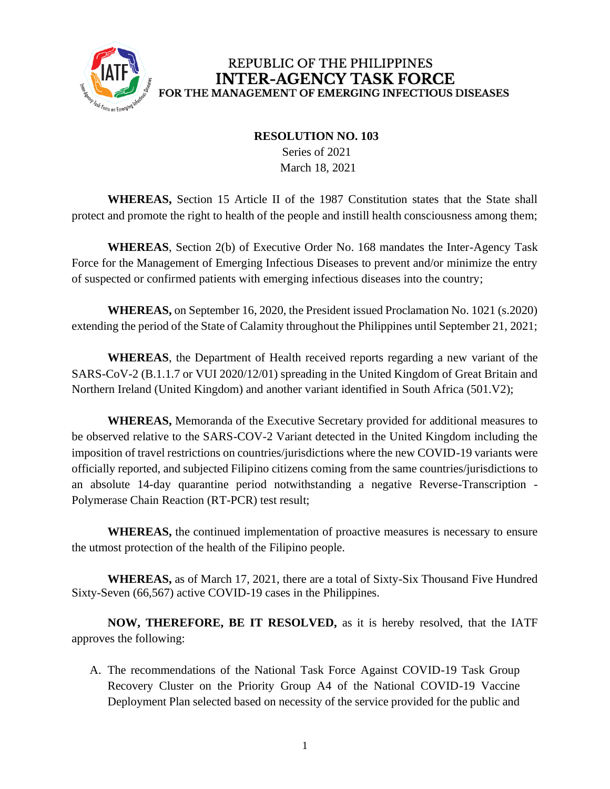

## **RESOLUTION NO. 103**

 Series of 2021 March 18, 2021

**WHEREAS,** Section 15 Article II of the 1987 Constitution states that the State shall protect and promote the right to health of the people and instill health consciousness among them;

**WHEREAS**, Section 2(b) of Executive Order No. 168 mandates the Inter-Agency Task Force for the Management of Emerging Infectious Diseases to prevent and/or minimize the entry of suspected or confirmed patients with emerging infectious diseases into the country;

**WHEREAS,** on September 16, 2020, the President issued Proclamation No. 1021 (s.2020) extending the period of the State of Calamity throughout the Philippines until September 21, 2021;

**WHEREAS**, the Department of Health received reports regarding a new variant of the SARS-CoV-2 (B.1.1.7 or VUI 2020/12/01) spreading in the United Kingdom of Great Britain and Northern Ireland (United Kingdom) and another variant identified in South Africa (501.V2);

**WHEREAS,** Memoranda of the Executive Secretary provided for additional measures to be observed relative to the SARS-COV-2 Variant detected in the United Kingdom including the imposition of travel restrictions on countries/jurisdictions where the new COVID-19 variants were officially reported, and subjected Filipino citizens coming from the same countries/jurisdictions to an absolute 14-day quarantine period notwithstanding a negative Reverse-Transcription - Polymerase Chain Reaction (RT-PCR) test result;

**WHEREAS,** the continued implementation of proactive measures is necessary to ensure the utmost protection of the health of the Filipino people.

**WHEREAS,** as of March 17, 2021, there are a total of Sixty-Six Thousand Five Hundred Sixty-Seven (66,567) active COVID-19 cases in the Philippines.

**NOW, THEREFORE, BE IT RESOLVED,** as it is hereby resolved, that the IATF approves the following:

A. The recommendations of the National Task Force Against COVID-19 Task Group Recovery Cluster on the Priority Group A4 of the National COVID-19 Vaccine Deployment Plan selected based on necessity of the service provided for the public and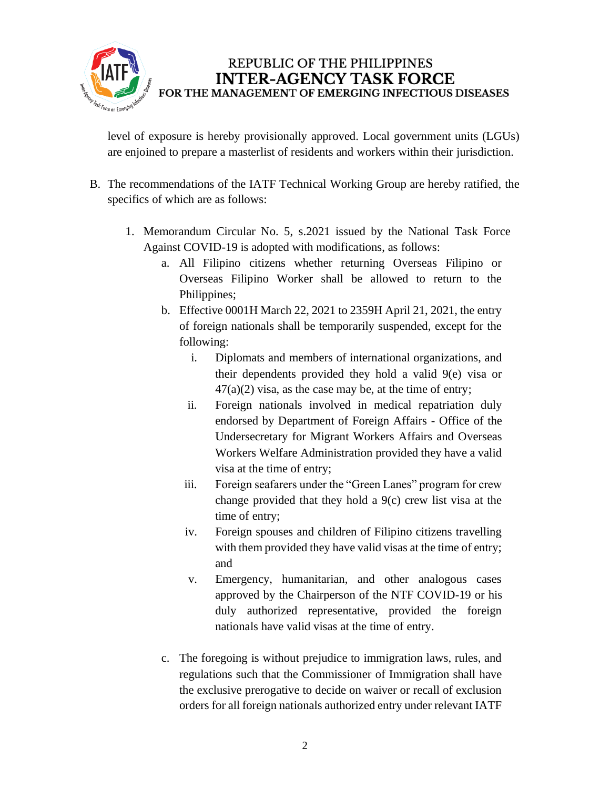

level of exposure is hereby provisionally approved. Local government units (LGUs) are enjoined to prepare a masterlist of residents and workers within their jurisdiction.

- B. The recommendations of the IATF Technical Working Group are hereby ratified, the specifics of which are as follows:
	- 1. Memorandum Circular No. 5, s.2021 issued by the National Task Force Against COVID-19 is adopted with modifications, as follows:
		- a. All Filipino citizens whether returning Overseas Filipino or Overseas Filipino Worker shall be allowed to return to the Philippines;
		- b. Effective 0001H March 22, 2021 to 2359H April 21, 2021, the entry of foreign nationals shall be temporarily suspended, except for the following:
			- i. Diplomats and members of international organizations, and their dependents provided they hold a valid 9(e) visa or  $47(a)(2)$  visa, as the case may be, at the time of entry;
			- ii. Foreign nationals involved in medical repatriation duly endorsed by Department of Foreign Affairs - Office of the Undersecretary for Migrant Workers Affairs and Overseas Workers Welfare Administration provided they have a valid visa at the time of entry;
			- iii. Foreign seafarers under the "Green Lanes" program for crew change provided that they hold a 9(c) crew list visa at the time of entry;
			- iv. Foreign spouses and children of Filipino citizens travelling with them provided they have valid visas at the time of entry; and
			- v. Emergency, humanitarian, and other analogous cases approved by the Chairperson of the NTF COVID-19 or his duly authorized representative, provided the foreign nationals have valid visas at the time of entry.
		- c. The foregoing is without prejudice to immigration laws, rules, and regulations such that the Commissioner of Immigration shall have the exclusive prerogative to decide on waiver or recall of exclusion orders for all foreign nationals authorized entry under relevant IATF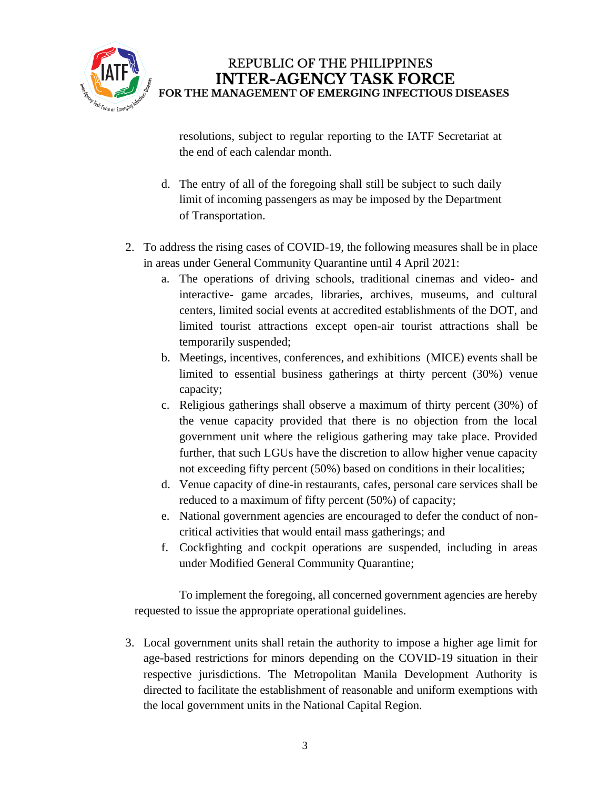

resolutions, subject to regular reporting to the IATF Secretariat at the end of each calendar month.

- d. The entry of all of the foregoing shall still be subject to such daily limit of incoming passengers as may be imposed by the Department of Transportation.
- 2. To address the rising cases of COVID-19, the following measures shall be in place in areas under General Community Quarantine until 4 April 2021:
	- a. The operations of driving schools, traditional cinemas and video- and interactive- game arcades, libraries, archives, museums, and cultural centers, limited social events at accredited establishments of the DOT, and limited tourist attractions except open-air tourist attractions shall be temporarily suspended;
	- b. Meetings, incentives, conferences, and exhibitions (MICE) events shall be limited to essential business gatherings at thirty percent (30%) venue capacity;
	- c. Religious gatherings shall observe a maximum of thirty percent (30%) of the venue capacity provided that there is no objection from the local government unit where the religious gathering may take place. Provided further, that such LGUs have the discretion to allow higher venue capacity not exceeding fifty percent (50%) based on conditions in their localities;
	- d. Venue capacity of dine-in restaurants, cafes, personal care services shall be reduced to a maximum of fifty percent (50%) of capacity;
	- e. National government agencies are encouraged to defer the conduct of noncritical activities that would entail mass gatherings; and
	- f. Cockfighting and cockpit operations are suspended, including in areas under Modified General Community Quarantine;

To implement the foregoing, all concerned government agencies are hereby requested to issue the appropriate operational guidelines.

3. Local government units shall retain the authority to impose a higher age limit for age-based restrictions for minors depending on the COVID-19 situation in their respective jurisdictions. The Metropolitan Manila Development Authority is directed to facilitate the establishment of reasonable and uniform exemptions with the local government units in the National Capital Region.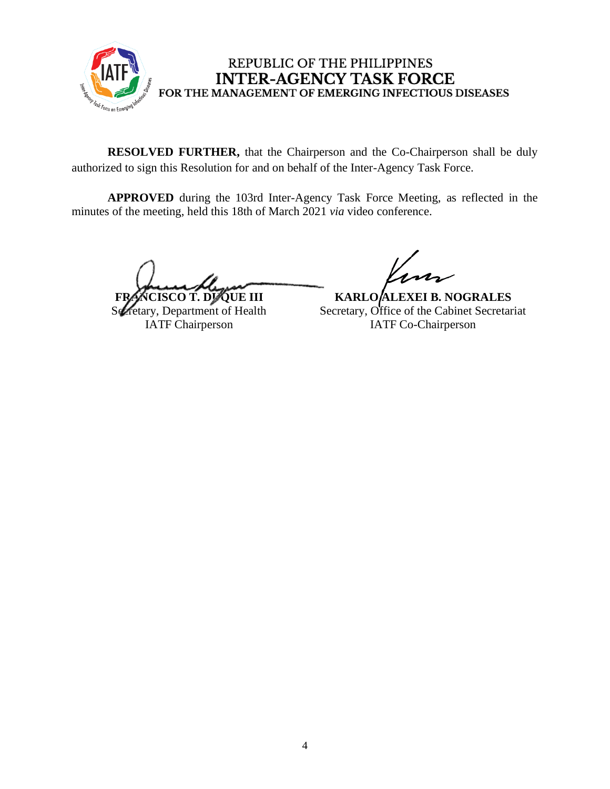

**RESOLVED FURTHER,** that the Chairperson and the Co-Chairperson shall be duly authorized to sign this Resolution for and on behalf of the Inter-Agency Task Force.

**APPROVED** during the 103rd Inter-Agency Task Force Meeting, as reflected in the minutes of the meeting, held this 18th of March 2021 *via* video conference.

**CISCO T. DUQUE III** 

Secretary, Department of Health IATF Chairperson

**KARLO ALEXEI B. NOGRALES** Secretary, Office of the Cabinet Secretariat IATF Co-Chairperson